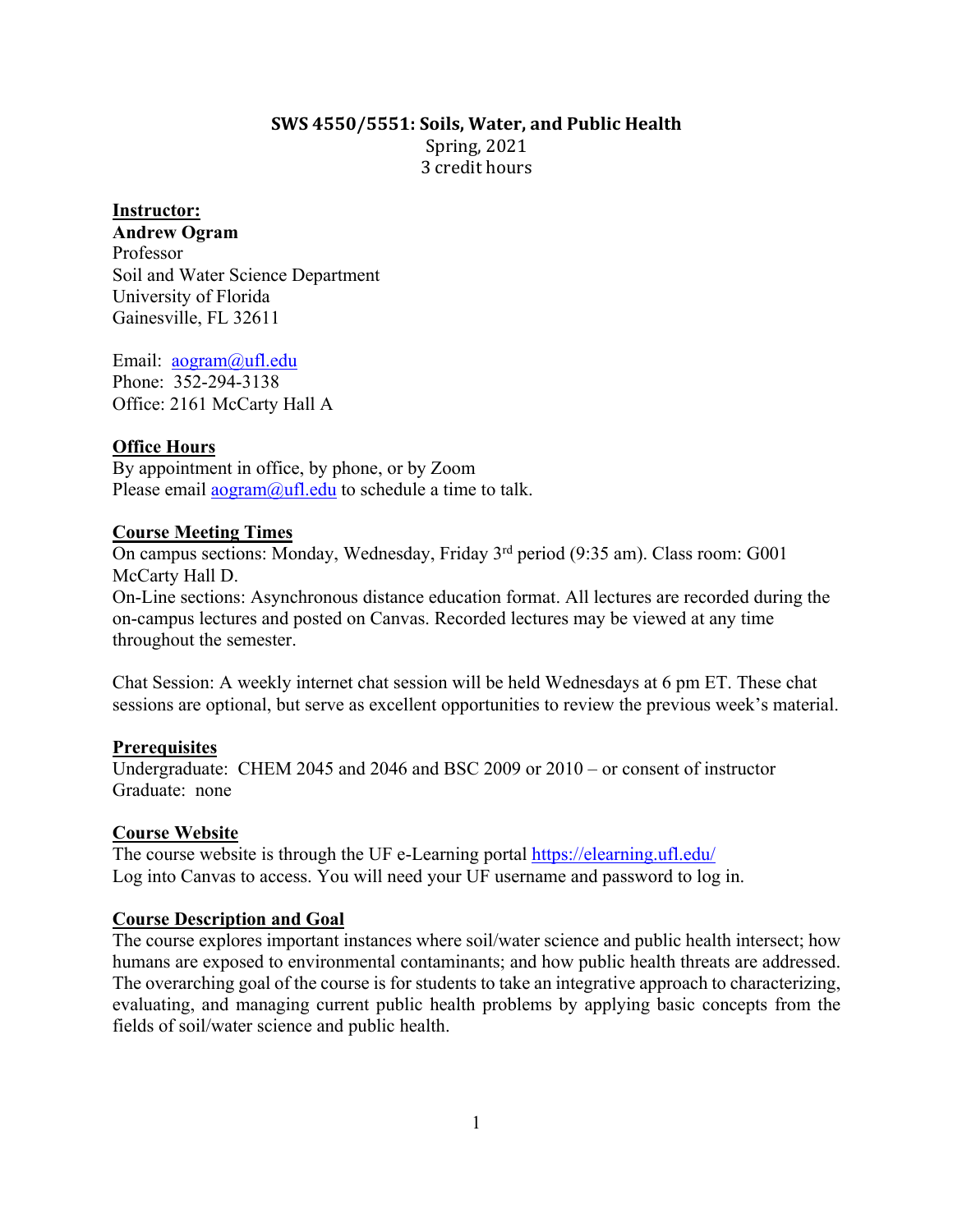# **SWS 4550/5551: Soils, Water, and Public Health** Spring, 2021 3 credit hours

### **Instructor:**

**Andrew Ogram** Professor Soil and Water Science Department University of Florida Gainesville, FL 32611

Email: aogram@ufl.edu Phone: 352-294-3138 Office: 2161 McCarty Hall A

### **Office Hours**

By appointment in office, by phone, or by Zoom Please email  $\frac{\text{a} \text{a} \text{b}}{\text{a} \text{b}}$  and  $\frac{\text{b} \text{b}}{\text{b}}$  at the to talk.

### **Course Meeting Times**

On campus sections: Monday, Wednesday, Friday 3rd period (9:35 am). Class room: G001 McCarty Hall D.

On-Line sections: Asynchronous distance education format. All lectures are recorded during the on-campus lectures and posted on Canvas. Recorded lectures may be viewed at any time throughout the semester.

Chat Session: A weekly internet chat session will be held Wednesdays at 6 pm ET. These chat sessions are optional, but serve as excellent opportunities to review the previous week's material.

### **Prerequisites**

Undergraduate: CHEM 2045 and 2046 and BSC 2009 or 2010 – or consent of instructor Graduate: none

### **Course Website**

The course website is through the UF e-Learning portal https://elearning.ufl.edu/ Log into Canvas to access. You will need your UF username and password to log in.

### **Course Description and Goal**

The course explores important instances where soil/water science and public health intersect; how humans are exposed to environmental contaminants; and how public health threats are addressed. The overarching goal of the course is for students to take an integrative approach to characterizing, evaluating, and managing current public health problems by applying basic concepts from the fields of soil/water science and public health.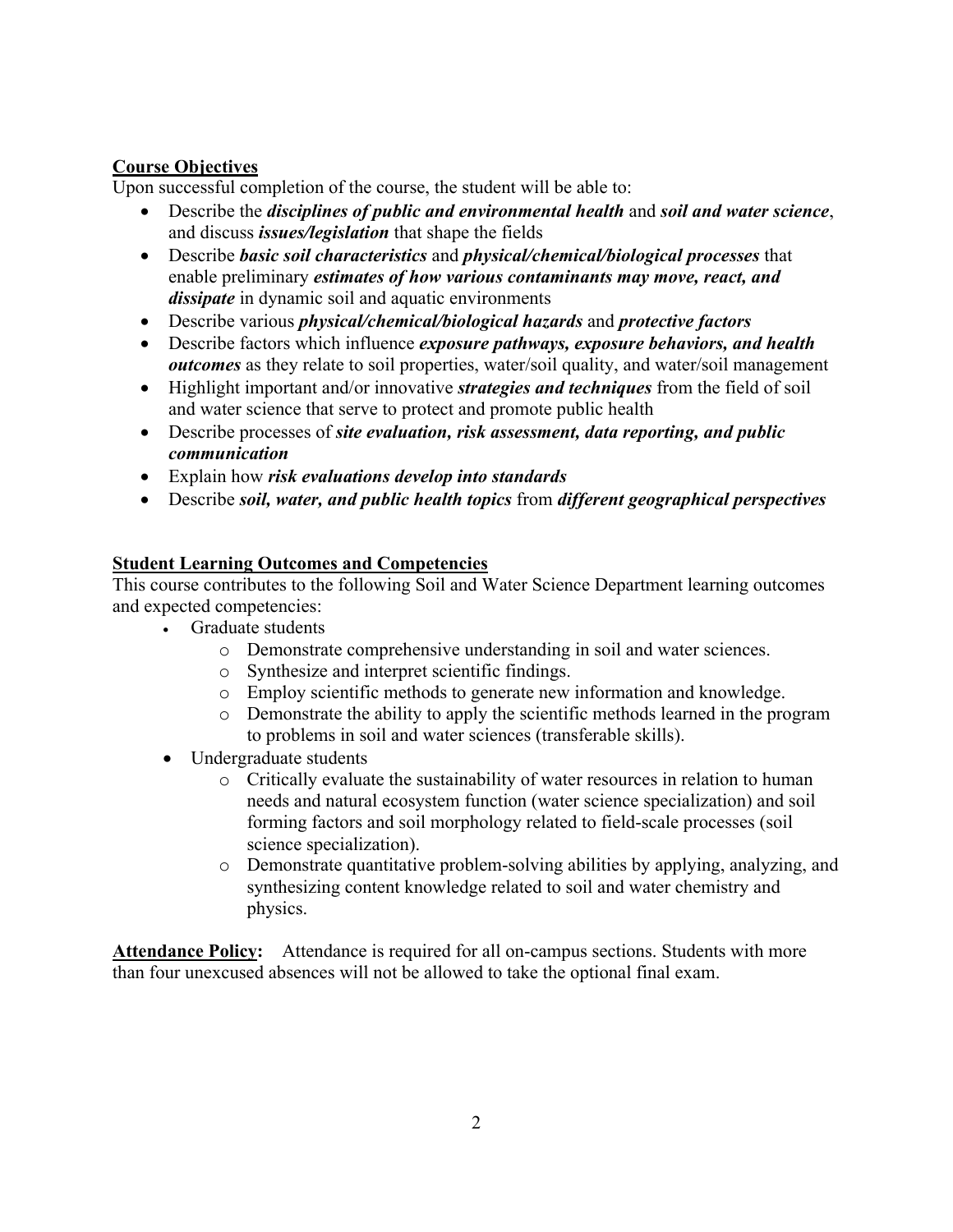# **Course Objectives**

Upon successful completion of the course, the student will be able to:

- Describe the *disciplines of public and environmental health* and *soil and water science*, and discuss *issues/legislation* that shape the fields
- Describe *basic soil characteristics* and *physical/chemical/biological processes* that enable preliminary *estimates of how various contaminants may move, react, and dissipate* in dynamic soil and aquatic environments
- Describe various *physical/chemical/biological hazards* and *protective factors*
- Describe factors which influence *exposure pathways, exposure behaviors, and health outcomes* as they relate to soil properties, water/soil quality, and water/soil management
- Highlight important and/or innovative *strategies and techniques* from the field of soil and water science that serve to protect and promote public health
- Describe processes of *site evaluation, risk assessment, data reporting, and public communication*
- Explain how *risk evaluations develop into standards*
- Describe *soil, water, and public health topics* from *different geographical perspectives*

# **Student Learning Outcomes and Competencies**

This course contributes to the following Soil and Water Science Department learning outcomes and expected competencies:

- Graduate students
	- o Demonstrate comprehensive understanding in soil and water sciences.
	- o Synthesize and interpret scientific findings.
	- o Employ scientific methods to generate new information and knowledge.
	- o Demonstrate the ability to apply the scientific methods learned in the program to problems in soil and water sciences (transferable skills).
- Undergraduate students
	- o Critically evaluate the sustainability of water resources in relation to human needs and natural ecosystem function (water science specialization) and soil forming factors and soil morphology related to field-scale processes (soil science specialization).
	- o Demonstrate quantitative problem-solving abilities by applying, analyzing, and synthesizing content knowledge related to soil and water chemistry and physics.

Attendance Policy: Attendance is required for all on-campus sections. Students with more than four unexcused absences will not be allowed to take the optional final exam.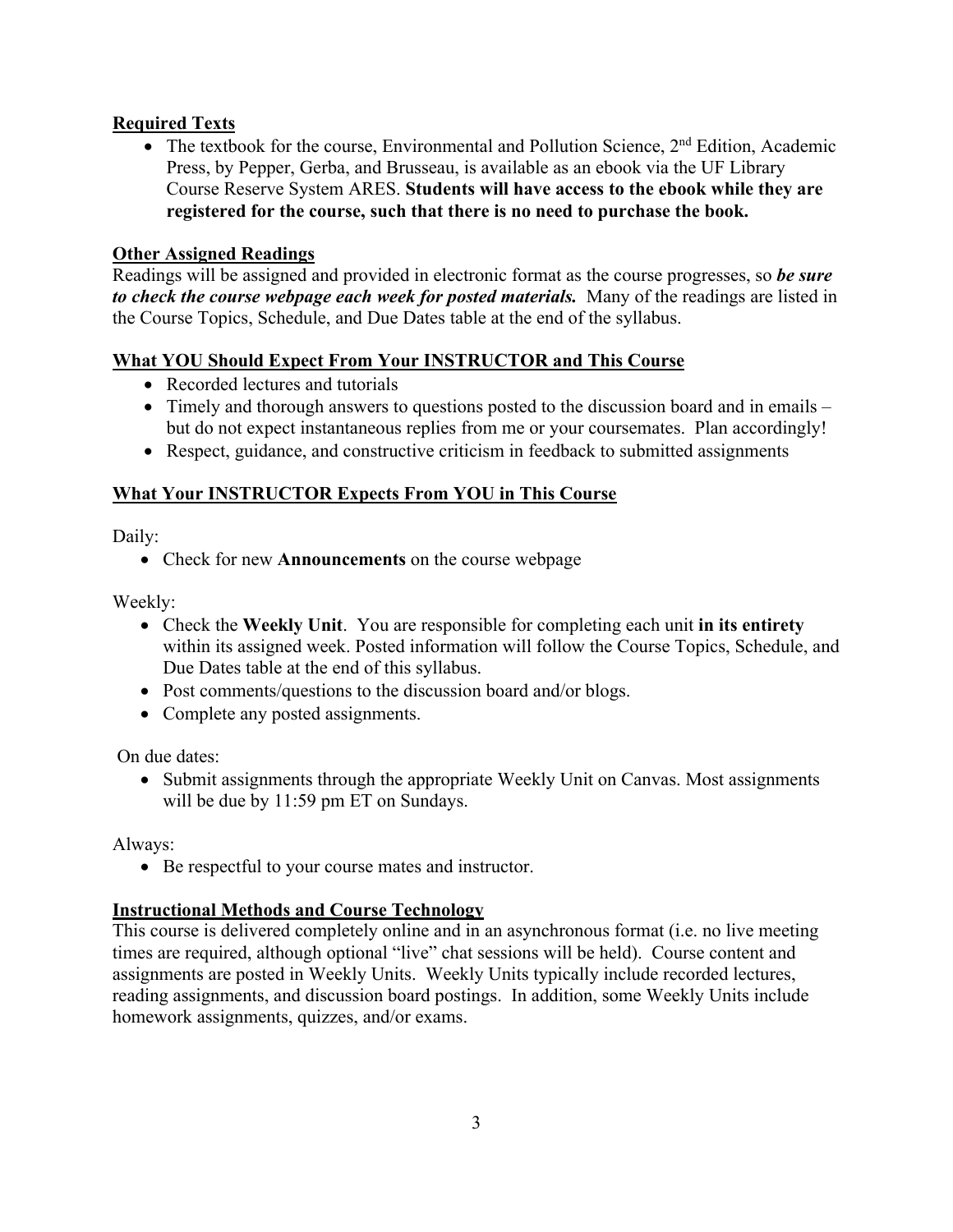# **Required Texts**

• The textbook for the course, Environmental and Pollution Science,  $2<sup>nd</sup>$  Edition, Academic Press, by Pepper, Gerba, and Brusseau, is available as an ebook via the UF Library Course Reserve System ARES. **Students will have access to the ebook while they are registered for the course, such that there is no need to purchase the book.**

### **Other Assigned Readings**

Readings will be assigned and provided in electronic format as the course progresses, so *be sure to check the course webpage each week for posted materials.* Many of the readings are listed in the Course Topics, Schedule, and Due Dates table at the end of the syllabus.

### **What YOU Should Expect From Your INSTRUCTOR and This Course**

- Recorded lectures and tutorials
- Timely and thorough answers to questions posted to the discussion board and in emails but do not expect instantaneous replies from me or your coursemates. Plan accordingly!
- Respect, guidance, and constructive criticism in feedback to submitted assignments

# **What Your INSTRUCTOR Expects From YOU in This Course**

Daily:

• Check for new **Announcements** on the course webpage

Weekly:

- Check the **Weekly Unit**. You are responsible for completing each unit **in its entirety** within its assigned week. Posted information will follow the Course Topics, Schedule, and Due Dates table at the end of this syllabus.
- Post comments/questions to the discussion board and/or blogs.
- Complete any posted assignments.

On due dates:

• Submit assignments through the appropriate Weekly Unit on Canvas. Most assignments will be due by 11:59 pm ET on Sundays.

Always:

• Be respectful to your course mates and instructor.

# **Instructional Methods and Course Technology**

This course is delivered completely online and in an asynchronous format (i.e. no live meeting times are required, although optional "live" chat sessions will be held). Course content and assignments are posted in Weekly Units. Weekly Units typically include recorded lectures, reading assignments, and discussion board postings. In addition, some Weekly Units include homework assignments, quizzes, and/or exams.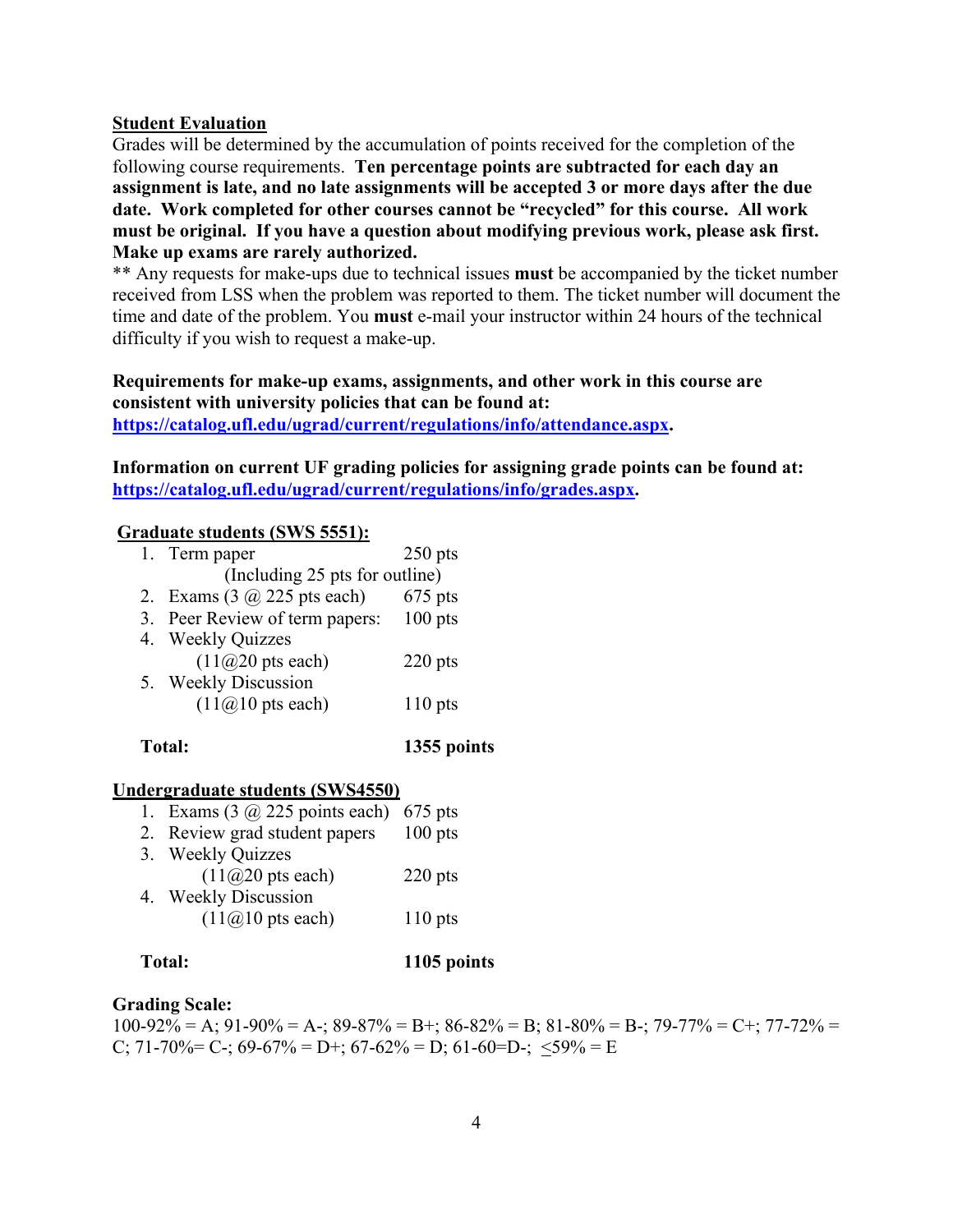### **Student Evaluation**

Grades will be determined by the accumulation of points received for the completion of the following course requirements. **Ten percentage points are subtracted for each day an assignment is late, and no late assignments will be accepted 3 or more days after the due date. Work completed for other courses cannot be "recycled" for this course. All work must be original. If you have a question about modifying previous work, please ask first. Make up exams are rarely authorized.** 

\*\* Any requests for make-ups due to technical issues **must** be accompanied by the ticket number received from LSS when the problem was reported to them. The ticket number will document the time and date of the problem. You **must** e-mail your instructor within 24 hours of the technical difficulty if you wish to request a make-up.

### **Requirements for make-up exams, assignments, and other work in this course are consistent with university policies that can be found at: https://catalog.ufl.edu/ugrad/current/regulations/info/attendance.aspx.**

**Information on current UF grading policies for assigning grade points can be found at: https://catalog.ufl.edu/ugrad/current/regulations/info/grades.aspx.** 

### **Graduate students (SWS 5551):**

|                                | 1. Term paper                      | $250$ pts |  |  |
|--------------------------------|------------------------------------|-----------|--|--|
| (Including 25 pts for outline) |                                    |           |  |  |
|                                | 2. Exams $(3 \omega 225$ pts each) | $675$ pts |  |  |
|                                | 3. Peer Review of term papers:     | $100$ pts |  |  |
|                                | 4. Weekly Quizzes                  |           |  |  |
|                                | $(11@20$ pts each)                 | $220$ pts |  |  |
|                                | 5. Weekly Discussion               |           |  |  |
|                                | $(11@10$ pts each)                 | $110$ pts |  |  |
|                                |                                    |           |  |  |

### **Total: 1355 points**

### **Undergraduate students (SWS4550)**

| 1. Exams $(3 \omega)$ 225 points each) 675 pts |           |
|------------------------------------------------|-----------|
| 2. Review grad student papers                  | $100$ pts |
| 3. Weekly Quizzes                              |           |
| $(11@20$ pts each)                             | $220$ pts |
| 4. Weekly Discussion                           |           |
| $(11@10$ pts each)                             | $110$ pts |
|                                                |           |

### **Total: 1105 points**

### **Grading Scale:**

100-92% = A; 91-90% = A-; 89-87% = B+; 86-82% = B; 81-80% = B-; 79-77% = C+; 77-72% = C; 71-70% = C-; 69-67% = D+; 67-62% = D; 61-60=D-;  $\langle 59\% \rangle = E$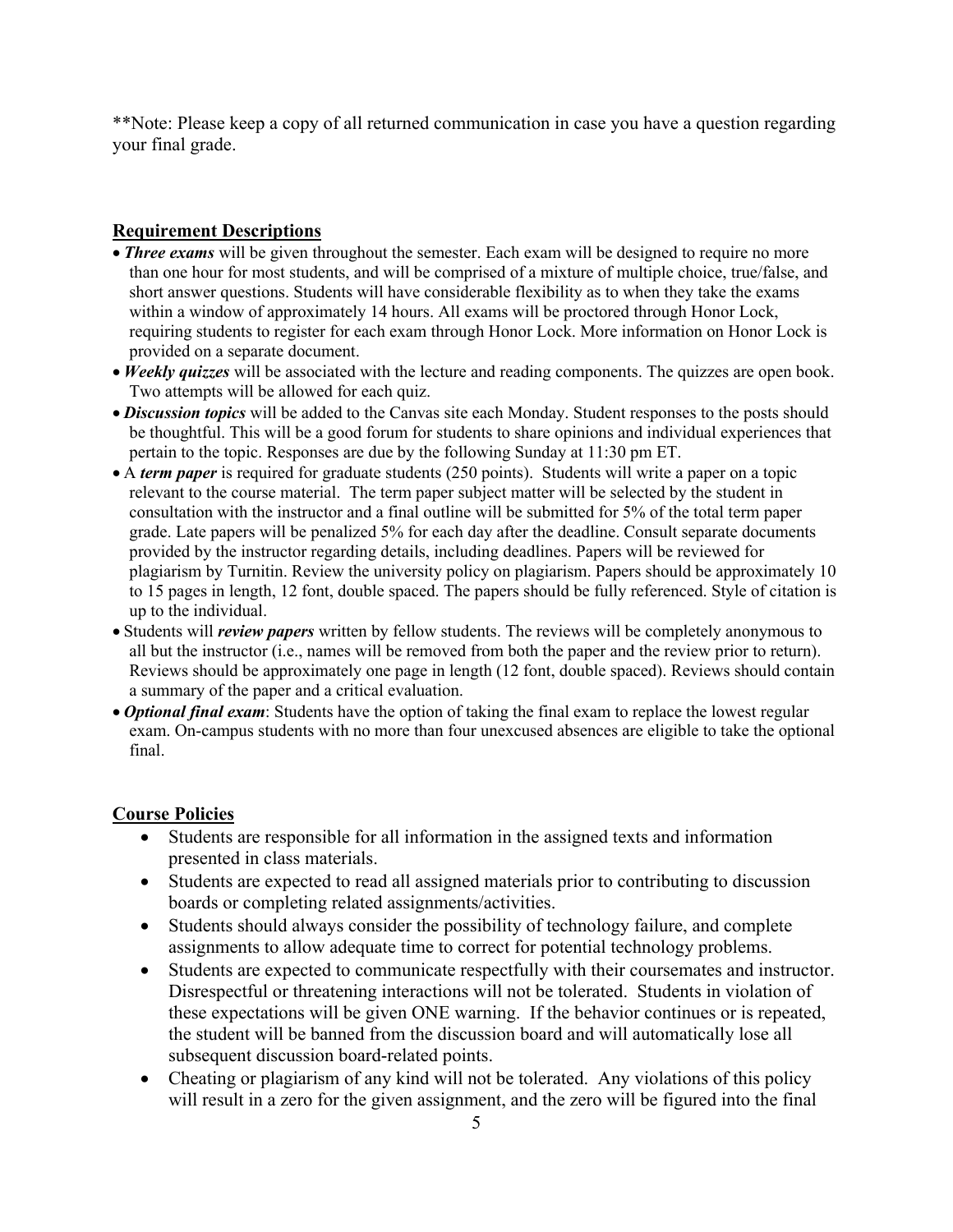\*\*Note: Please keep a copy of all returned communication in case you have a question regarding your final grade.

### **Requirement Descriptions**

- *Three exams* will be given throughout the semester. Each exam will be designed to require no more than one hour for most students, and will be comprised of a mixture of multiple choice, true/false, and short answer questions. Students will have considerable flexibility as to when they take the exams within a window of approximately 14 hours. All exams will be proctored through Honor Lock, requiring students to register for each exam through Honor Lock. More information on Honor Lock is provided on a separate document.
- *Weekly quizzes* will be associated with the lecture and reading components. The quizzes are open book. Two attempts will be allowed for each quiz.
- *Discussion topics* will be added to the Canvas site each Monday. Student responses to the posts should be thoughtful. This will be a good forum for students to share opinions and individual experiences that pertain to the topic. Responses are due by the following Sunday at 11:30 pm ET.
- A *term paper* is required for graduate students (250 points). Students will write a paper on a topic relevant to the course material. The term paper subject matter will be selected by the student in consultation with the instructor and a final outline will be submitted for 5% of the total term paper grade. Late papers will be penalized 5% for each day after the deadline. Consult separate documents provided by the instructor regarding details, including deadlines. Papers will be reviewed for plagiarism by Turnitin. Review the university policy on plagiarism. Papers should be approximately 10 to 15 pages in length, 12 font, double spaced. The papers should be fully referenced. Style of citation is up to the individual.
- Students will *review papers* written by fellow students. The reviews will be completely anonymous to all but the instructor (i.e., names will be removed from both the paper and the review prior to return). Reviews should be approximately one page in length (12 font, double spaced). Reviews should contain a summary of the paper and a critical evaluation.
- *Optional final exam*: Students have the option of taking the final exam to replace the lowest regular exam. On-campus students with no more than four unexcused absences are eligible to take the optional final.

### **Course Policies**

- Students are responsible for all information in the assigned texts and information presented in class materials.
- Students are expected to read all assigned materials prior to contributing to discussion boards or completing related assignments/activities.
- Students should always consider the possibility of technology failure, and complete assignments to allow adequate time to correct for potential technology problems.
- Students are expected to communicate respectfully with their coursemates and instructor. Disrespectful or threatening interactions will not be tolerated. Students in violation of these expectations will be given ONE warning. If the behavior continues or is repeated, the student will be banned from the discussion board and will automatically lose all subsequent discussion board-related points.
- Cheating or plagiarism of any kind will not be tolerated. Any violations of this policy will result in a zero for the given assignment, and the zero will be figured into the final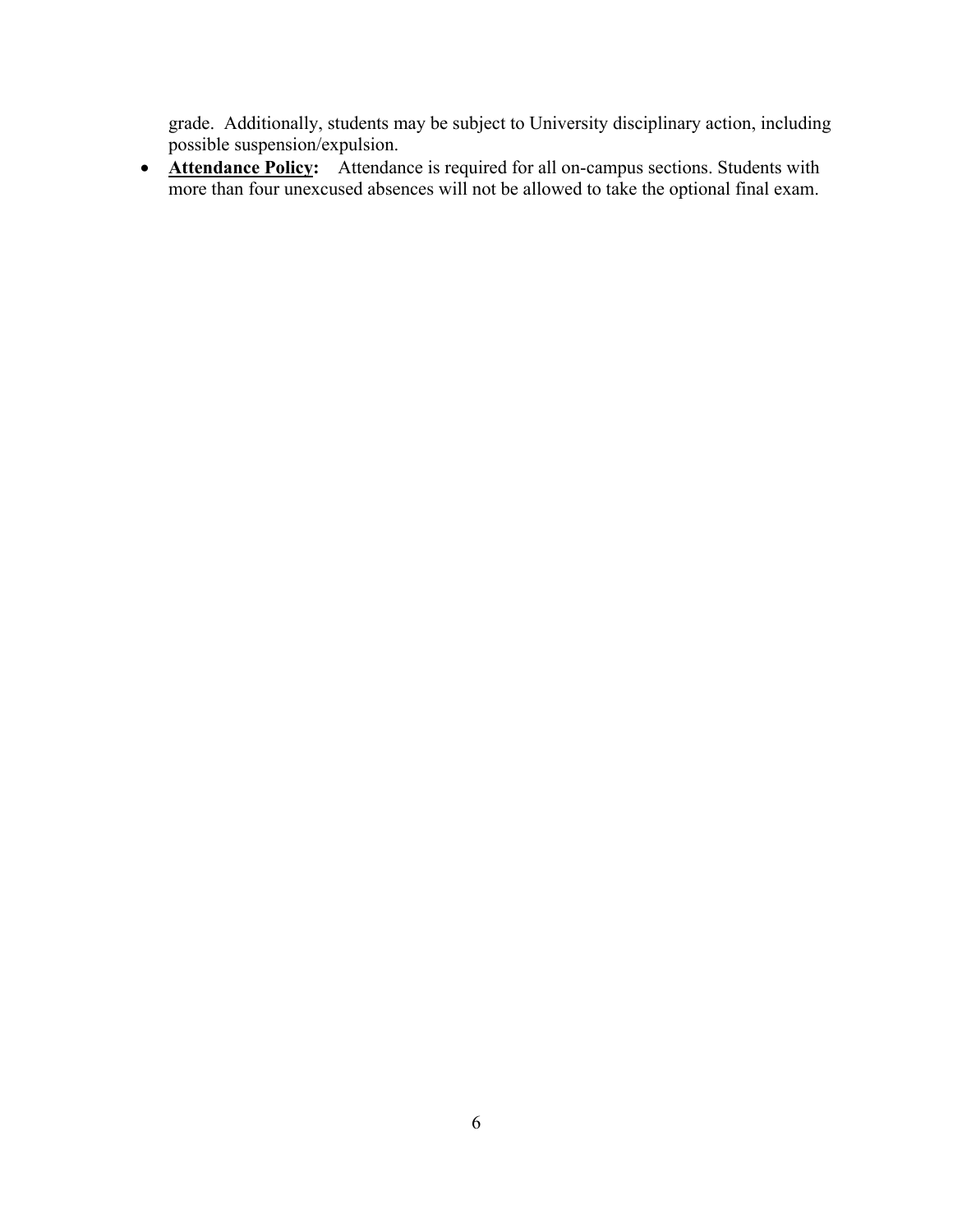grade. Additionally, students may be subject to University disciplinary action, including possible suspension/expulsion.

• **Attendance Policy:** Attendance is required for all on-campus sections. Students with more than four unexcused absences will not be allowed to take the optional final exam.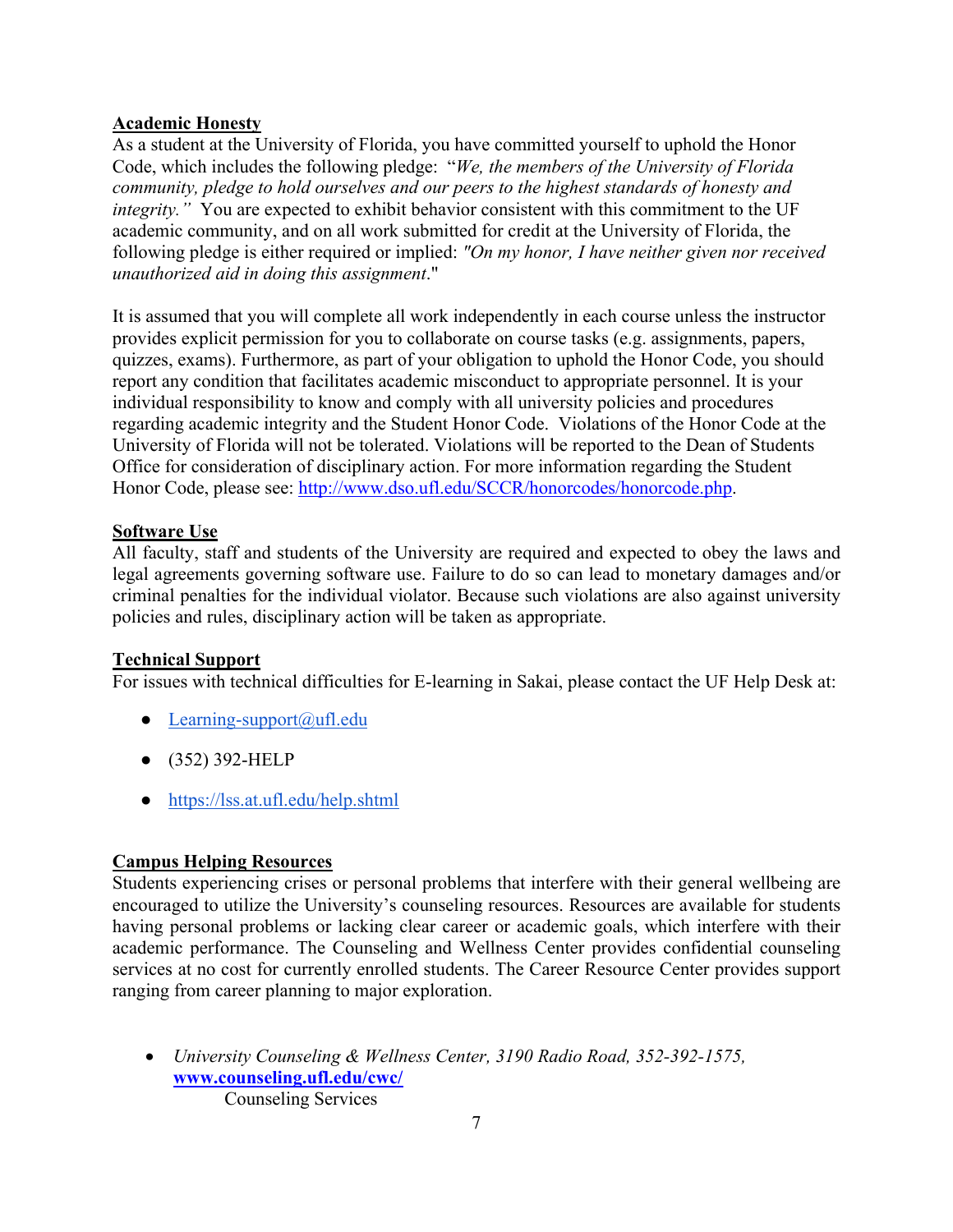### **Academic Honesty**

As a student at the University of Florida, you have committed yourself to uphold the Honor Code, which includes the following pledge: "*We, the members of the University of Florida community, pledge to hold ourselves and our peers to the highest standards of honesty and integrity."* You are expected to exhibit behavior consistent with this commitment to the UF academic community, and on all work submitted for credit at the University of Florida, the following pledge is either required or implied: *"On my honor, I have neither given nor received unauthorized aid in doing this assignment*."

It is assumed that you will complete all work independently in each course unless the instructor provides explicit permission for you to collaborate on course tasks (e.g. assignments, papers, quizzes, exams). Furthermore, as part of your obligation to uphold the Honor Code, you should report any condition that facilitates academic misconduct to appropriate personnel. It is your individual responsibility to know and comply with all university policies and procedures regarding academic integrity and the Student Honor Code. Violations of the Honor Code at the University of Florida will not be tolerated. Violations will be reported to the Dean of Students Office for consideration of disciplinary action. For more information regarding the Student Honor Code, please see: http://www.dso.ufl.edu/SCCR/honorcodes/honorcode.php.

### **Software Use**

All faculty, staff and students of the University are required and expected to obey the laws and legal agreements governing software use. Failure to do so can lead to monetary damages and/or criminal penalties for the individual violator. Because such violations are also against university policies and rules, disciplinary action will be taken as appropriate.

### **Technical Support**

For issues with technical difficulties for E-learning in Sakai, please contact the UF Help Desk at:

- Learning-support $(a)$ ufl.edu
- (352) 392-HELP
- https://lss.at.ufl.edu/help.shtml

### **Campus Helping Resources**

Students experiencing crises or personal problems that interfere with their general wellbeing are encouraged to utilize the University's counseling resources. Resources are available for students having personal problems or lacking clear career or academic goals, which interfere with their academic performance. The Counseling and Wellness Center provides confidential counseling services at no cost for currently enrolled students. The Career Resource Center provides support ranging from career planning to major exploration.

• *University Counseling & Wellness Center, 3190 Radio Road, 352-392-1575,* **www.counseling.ufl.edu/cwc/**

Counseling Services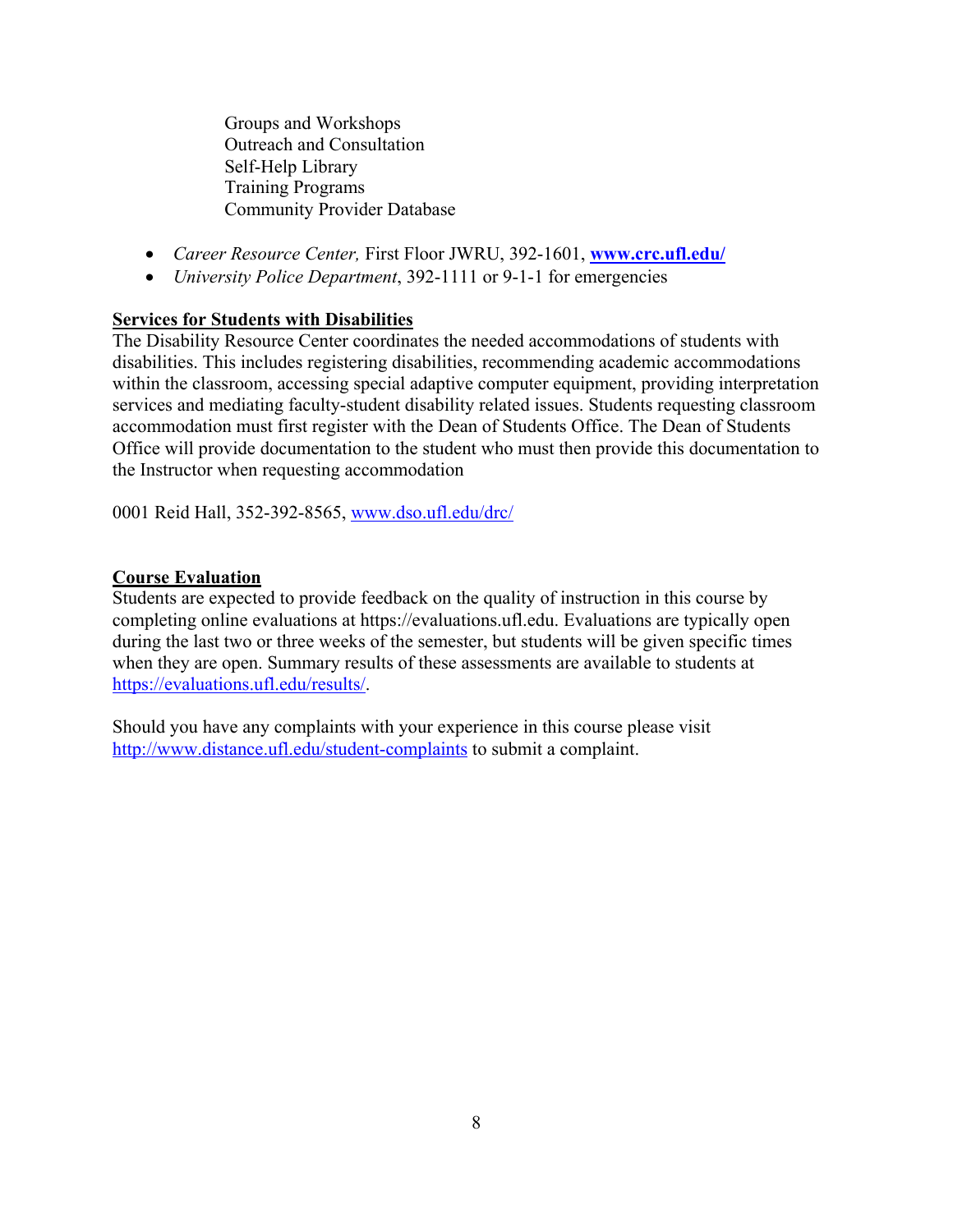Groups and Workshops Outreach and Consultation Self-Help Library Training Programs Community Provider Database

- *Career Resource Center,* First Floor JWRU, 392-1601, **www.crc.ufl.edu/**
- *University Police Department*, 392-1111 or 9-1-1 for emergencies

# **Services for Students with Disabilities**

The Disability Resource Center coordinates the needed accommodations of students with disabilities. This includes registering disabilities, recommending academic accommodations within the classroom, accessing special adaptive computer equipment, providing interpretation services and mediating faculty-student disability related issues. Students requesting classroom accommodation must first register with the Dean of Students Office. The Dean of Students Office will provide documentation to the student who must then provide this documentation to the Instructor when requesting accommodation

0001 Reid Hall, 352-392-8565, www.dso.ufl.edu/drc/

### **Course Evaluation**

Students are expected to provide feedback on the quality of instruction in this course by completing online evaluations at https://evaluations.ufl.edu. Evaluations are typically open during the last two or three weeks of the semester, but students will be given specific times when they are open. Summary results of these assessments are available to students at https://evaluations.ufl.edu/results/.

Should you have any complaints with your experience in this course please visit http://www.distance.ufl.edu/student-complaints to submit a complaint.